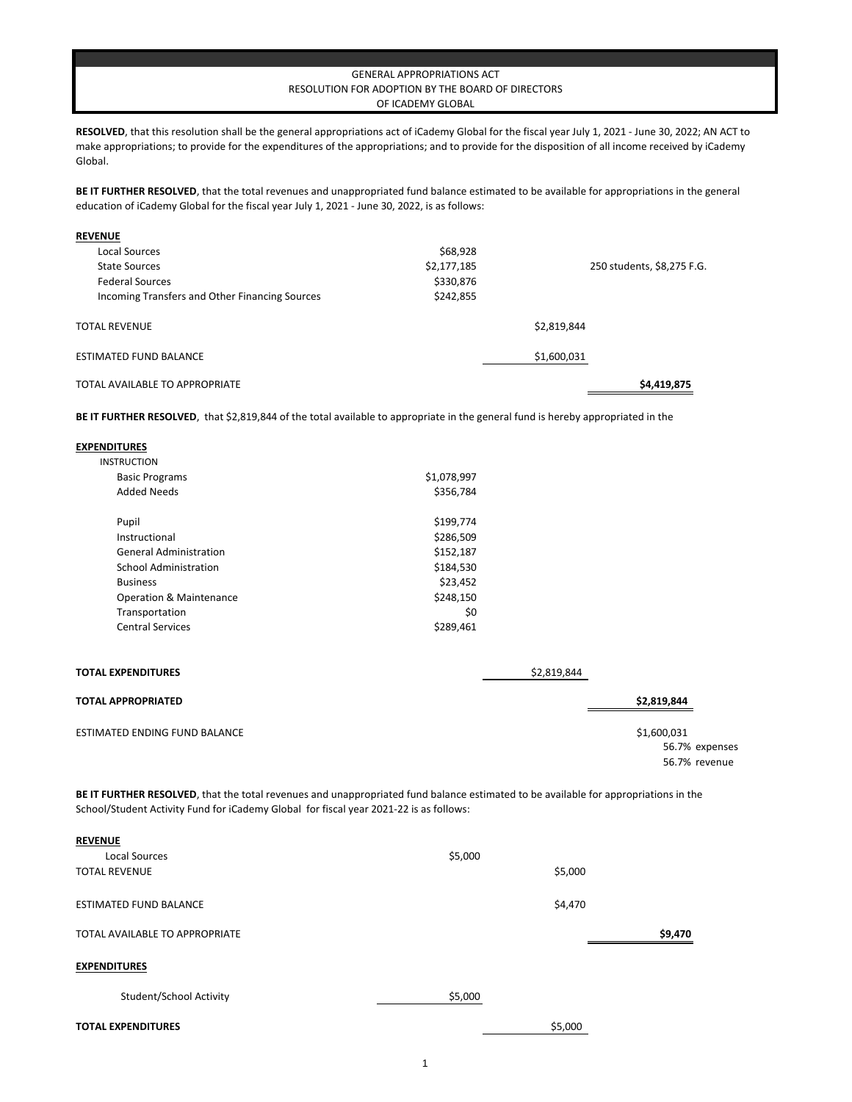## GENERAL APPROPRIATIONS ACT RESOLUTION FOR ADOPTION BY THE BOARD OF DIRECTORS OF ICADEMY GLOBAL

**RESOLVED**, that this resolution shall be the general appropriations act of iCademy Global for the fiscal year July 1, 2021 - June 30, 2022; AN ACT to make appropriations; to provide for the expenditures of the appropriations; and to provide for the disposition of all income received by iCademy Global.

BE IT FURTHER RESOLVED, that the total revenues and unappropriated fund balance estimated to be available for appropriations in the general education of iCademy Global for the fiscal year July 1, 2021 - June 30, 2022, is as follows:

| <b>REVENUE</b>                                 |             |                            |
|------------------------------------------------|-------------|----------------------------|
| <b>Local Sources</b>                           | \$68,928    |                            |
| <b>State Sources</b>                           | \$2,177,185 | 250 students, \$8,275 F.G. |
| <b>Federal Sources</b>                         | \$330,876   |                            |
| Incoming Transfers and Other Financing Sources | \$242,855   |                            |
| <b>TOTAL REVENUE</b>                           |             | \$2,819,844                |
| <b>ESTIMATED FUND BALANCE</b>                  |             | \$1,600,031                |
| TOTAL AVAILABLE TO APPROPRIATE                 |             | \$4,419,875                |

**BE IT FURTHER RESOLVED**, that \$2,819,844 of the total available to appropriate in the general fund is hereby appropriated in the

| <b>EXPENDITURES</b>                  |             |             |                |
|--------------------------------------|-------------|-------------|----------------|
| <b>INSTRUCTION</b>                   |             |             |                |
| <b>Basic Programs</b>                | \$1,078,997 |             |                |
| <b>Added Needs</b>                   | \$356,784   |             |                |
| Pupil                                | \$199,774   |             |                |
| Instructional                        | \$286,509   |             |                |
| <b>General Administration</b>        | \$152,187   |             |                |
| <b>School Administration</b>         | \$184,530   |             |                |
| <b>Business</b>                      | \$23,452    |             |                |
| <b>Operation &amp; Maintenance</b>   | \$248,150   |             |                |
| Transportation                       | \$0         |             |                |
| <b>Central Services</b>              | \$289,461   |             |                |
| <b>TOTAL EXPENDITURES</b>            |             | \$2,819,844 |                |
|                                      |             |             |                |
| <b>TOTAL APPROPRIATED</b>            |             |             | \$2,819,844    |
| <b>ESTIMATED ENDING FUND BALANCE</b> |             |             | \$1,600,031    |
|                                      |             |             | 56.7% expenses |
|                                      |             |             | 56.7% revenue  |

**BE IT FURTHER RESOLVED**, that the total revenues and unappropriated fund balance estimated to be available for appropriations in the School/Student Activity Fund for iCademy Global for fiscal year 2021-22 is as follows:

| <b>REVENUE</b>                 |         |         |         |
|--------------------------------|---------|---------|---------|
| <b>Local Sources</b>           | \$5,000 |         |         |
| <b>TOTAL REVENUE</b>           |         | \$5,000 |         |
| <b>ESTIMATED FUND BALANCE</b>  |         | \$4,470 |         |
| TOTAL AVAILABLE TO APPROPRIATE |         |         | \$9,470 |
| <b>EXPENDITURES</b>            |         |         |         |
| Student/School Activity        | \$5,000 |         |         |
| <b>TOTAL EXPENDITURES</b>      |         | \$5,000 |         |